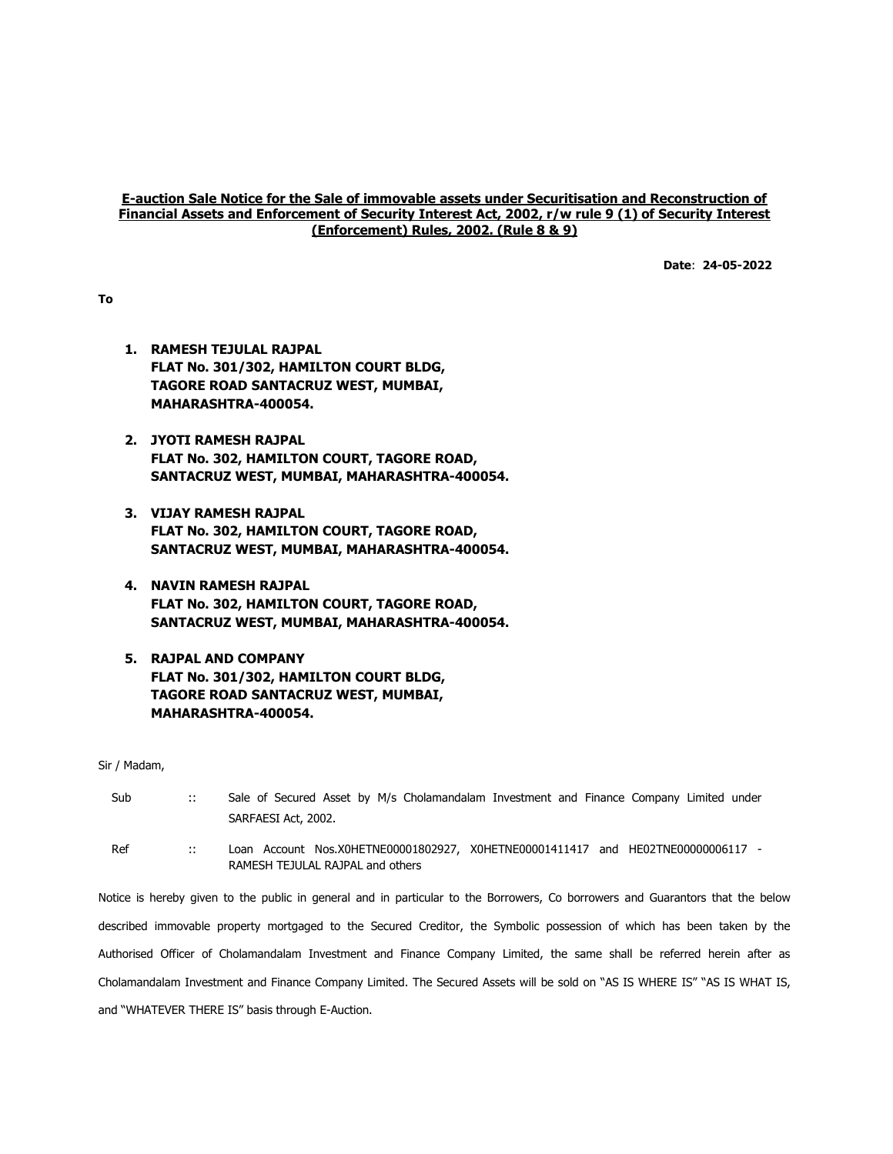## E-auction Sale Notice for the Sale of immovable assets under Securitisation and Reconstruction of Financial Assets and Enforcement of Security Interest Act, 2002, r/w rule 9 (1) of Security Interest (Enforcement) Rules, 2002. (Rule 8 & 9)

Date: 24-05-2022

To

- 1. RAMESH TEJULAL RAJPAL FLAT No. 301/302, HAMILTON COURT BLDG, TAGORE ROAD SANTACRUZ WEST, MUMBAI, MAHARASHTRA-400054.
- 2. JYOTI RAMESH RAJPAL FLAT No. 302, HAMILTON COURT, TAGORE ROAD, SANTACRUZ WEST, MUMBAI, MAHARASHTRA-400054.
- 3. VIJAY RAMESH RAJPAL FLAT No. 302, HAMILTON COURT, TAGORE ROAD, SANTACRUZ WEST, MUMBAI, MAHARASHTRA-400054.
- 4. NAVIN RAMESH RAJPAL FLAT No. 302, HAMILTON COURT, TAGORE ROAD, SANTACRUZ WEST, MUMBAI, MAHARASHTRA-400054.
- 5. RAJPAL AND COMPANY FLAT No. 301/302, HAMILTON COURT BLDG, TAGORE ROAD SANTACRUZ WEST, MUMBAI, MAHARASHTRA-400054.

Sir / Madam,

| Sub | $\mathbb{R}^n$ | Sale of Secured Asset by M/s Cholamandalam Investment and Finance Company Limited under<br>SARFAESI Act, 2002.                 |
|-----|----------------|--------------------------------------------------------------------------------------------------------------------------------|
| Ref | <b>A</b>       | Loan Account Nos.X0HETNE00001802927, X0HETNE00001411417 and HE02TNE00000006117 -<br>RAMESH TEJULAL RAJPAL and others           |
|     |                | Notice is hereby given to the public in general and in particular to the Borrowers, Co borrowers and Guarantors that the below |
|     |                | described immovable property mortgaged to the Secured Creditor, the Symbolic possession of which has been taken by the         |

Authorised Officer of Cholamandalam Investment and Finance Company Limited, the same shall be referred herein after as Cholamandalam Investment and Finance Company Limited. The Secured Assets will be sold on "AS IS WHERE IS" "AS IS WHAT IS, and "WHATEVER THERE IS" basis through E-Auction.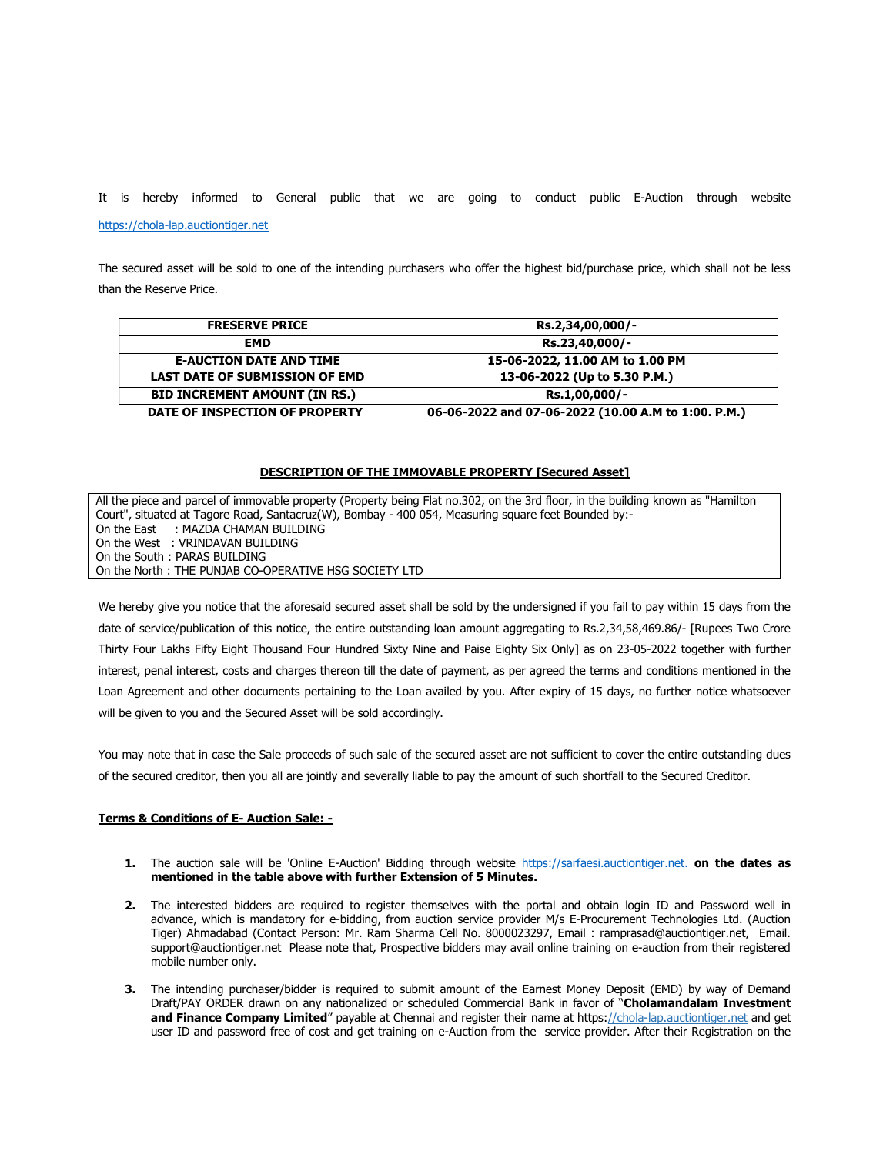It is hereby informed to General public that we are going to conduct public E-Auction through website

https://chola-lap.auctiontiger.net

The secured asset will be sold to one of the intending purchasers who offer the highest bid/purchase price, which shall not be less than the Reserve Price.

| <b>FRESERVE PRICE</b>                 | Rs.2,34,00,000/-                                    |
|---------------------------------------|-----------------------------------------------------|
| <b>EMD</b>                            | Rs.23,40,000/-                                      |
| <b>E-AUCTION DATE AND TIME</b>        | 15-06-2022, 11.00 AM to 1.00 PM                     |
| <b>LAST DATE OF SUBMISSION OF EMD</b> | 13-06-2022 (Up to 5.30 P.M.)                        |
| <b>BID INCREMENT AMOUNT (IN RS.)</b>  | Rs.1,00,000/-                                       |
| DATE OF INSPECTION OF PROPERTY        | 06-06-2022 and 07-06-2022 (10.00 A.M to 1:00. P.M.) |

## DESCRIPTION OF THE IMMOVABLE PROPERTY [Secured Asset]

All the piece and parcel of immovable property (Property being Flat no.302, on the 3rd floor, in the building known as "Hamilton Court", situated at Tagore Road, Santacruz(W), Bombay - 400 054, Measuring square feet Bounded by:- On the East : MAZDA CHAMAN BUILDING On the West : VRINDAVAN BUILDING On the South : PARAS BUILDING On the North : THE PUNJAB CO-OPERATIVE HSG SOCIETY LTD

We hereby give you notice that the aforesaid secured asset shall be sold by the undersigned if you fail to pay within 15 days from the date of service/publication of this notice, the entire outstanding loan amount aggregating to Rs.2,34,58,469.86/- [Rupees Two Crore Thirty Four Lakhs Fifty Eight Thousand Four Hundred Sixty Nine and Paise Eighty Six Only] as on 23-05-2022 together with further interest, penal interest, costs and charges thereon till the date of payment, as per agreed the terms and conditions mentioned in the Loan Agreement and other documents pertaining to the Loan availed by you. After expiry of 15 days, no further notice whatsoever will be given to you and the Secured Asset will be sold accordingly.

You may note that in case the Sale proceeds of such sale of the secured asset are not sufficient to cover the entire outstanding dues of the secured creditor, then you all are jointly and severally liable to pay the amount of such shortfall to the Secured Creditor.

## Terms & Conditions of E- Auction Sale: -

- 1. The auction sale will be 'Online E-Auction' Bidding through website https://sarfaesi.auctiontiger.net. on the dates as mentioned in the table above with further Extension of 5 Minutes.
- 2. The interested bidders are required to register themselves with the portal and obtain login ID and Password well in advance, which is mandatory for e-bidding, from auction service provider M/s E-Procurement Technologies Ltd. (Auction Tiger) Ahmadabad (Contact Person: Mr. Ram Sharma Cell No. 8000023297, Email : ramprasad@auctiontiger.net, Email. support@auctiontiger.net Please note that, Prospective bidders may avail online training on e-auction from their registered mobile number only.
- 3. The intending purchaser/bidder is required to submit amount of the Earnest Money Deposit (EMD) by way of Demand Draft/PAY ORDER drawn on any nationalized or scheduled Commercial Bank in favor of "Cholamandalam Investment and Finance Company Limited" payable at Chennai and register their name at https://chola-lap.auctiontiger.net and get user ID and password free of cost and get training on e-Auction from the service provider. After their Registration on the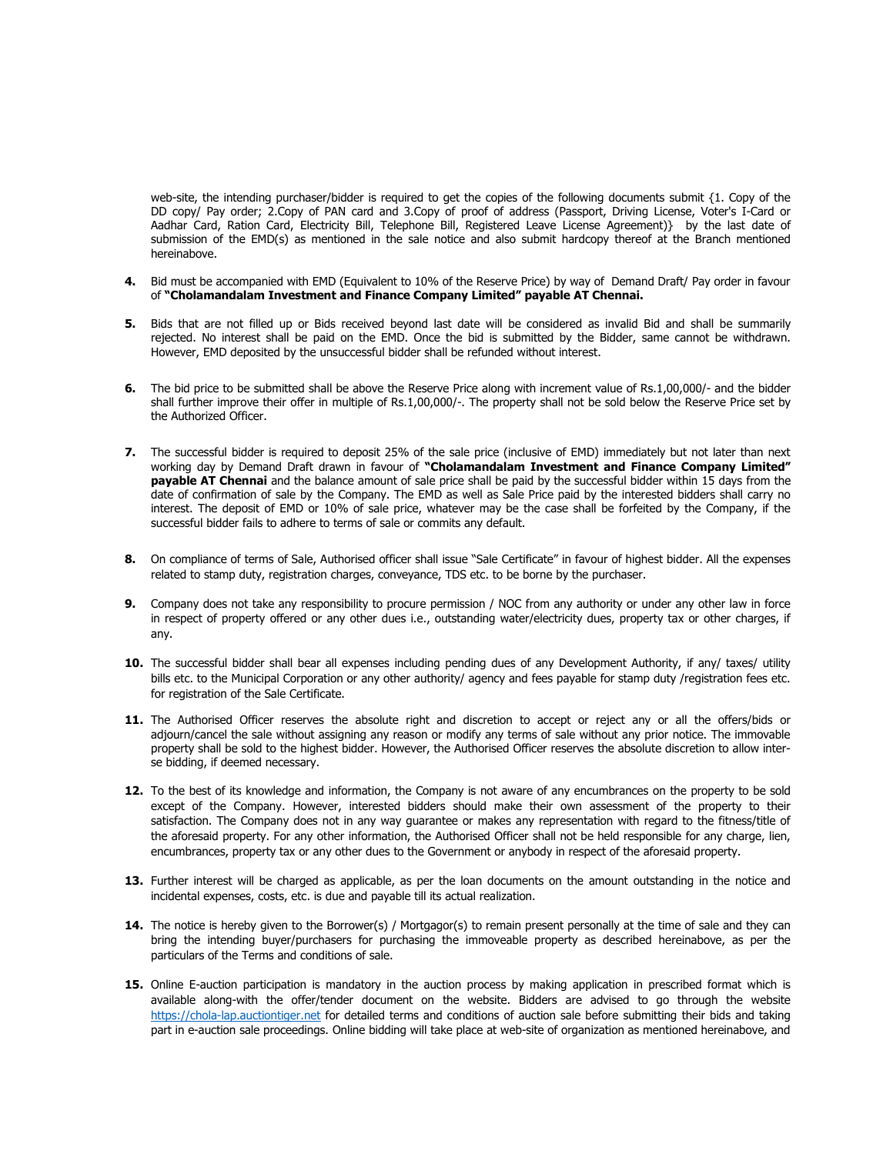web-site, the intending purchaser/bidder is required to get the copies of the following documents submit {1, Copy of the DD copy/ Pay order; 2.Copy of PAN card and 3.Copy of proof of address (Passport, Driving License, Voter's I-Card or Aadhar Card, Ration Card, Electricity Bill, Telephone Bill, Registered Leave License Agreement)} by the last date of submission of the EMD(s) as mentioned in the sale notice and also submit hardcopy thereof at the Branch mentioned hereinabove.

- 4. Bid must be accompanied with EMD (Equivalent to 10% of the Reserve Price) by way of Demand Draft/ Pay order in favour of "Cholamandalam Investment and Finance Company Limited" payable AT Chennai.
- 5. Bids that are not filled up or Bids received beyond last date will be considered as invalid Bid and shall be summarily rejected. No interest shall be paid on the EMD. Once the bid is submitted by the Bidder, same cannot be withdrawn. However, EMD deposited by the unsuccessful bidder shall be refunded without interest.
- 6. The bid price to be submitted shall be above the Reserve Price along with increment value of Rs.1,00,000/- and the bidder shall further improve their offer in multiple of Rs.1,00,000/-. The property shall not be sold below the Reserve Price set by the Authorized Officer.
- 7. The successful bidder is required to deposit 25% of the sale price (inclusive of EMD) immediately but not later than next working day by Demand Draft drawn in favour of "Cholamandalam Investment and Finance Company Limited" payable AT Chennai and the balance amount of sale price shall be paid by the successful bidder within 15 days from the date of confirmation of sale by the Company. The EMD as well as Sale Price paid by the interested bidders shall carry no interest. The deposit of EMD or 10% of sale price, whatever may be the case shall be forfeited by the Company, if the successful bidder fails to adhere to terms of sale or commits any default.
- 8. On compliance of terms of Sale, Authorised officer shall issue "Sale Certificate" in favour of highest bidder. All the expenses related to stamp duty, registration charges, conveyance, TDS etc. to be borne by the purchaser.
- 9. Company does not take any responsibility to procure permission / NOC from any authority or under any other law in force in respect of property offered or any other dues i.e., outstanding water/electricity dues, property tax or other charges, if any.
- 10. The successful bidder shall bear all expenses including pending dues of any Development Authority, if any/ taxes/ utility bills etc. to the Municipal Corporation or any other authority/ agency and fees payable for stamp duty /registration fees etc. for registration of the Sale Certificate.
- 11. The Authorised Officer reserves the absolute right and discretion to accept or reject any or all the offers/bids or adjourn/cancel the sale without assigning any reason or modify any terms of sale without any prior notice. The immovable property shall be sold to the highest bidder. However, the Authorised Officer reserves the absolute discretion to allow interse bidding, if deemed necessary.
- 12. To the best of its knowledge and information, the Company is not aware of any encumbrances on the property to be sold except of the Company. However, interested bidders should make their own assessment of the property to their satisfaction. The Company does not in any way guarantee or makes any representation with regard to the fitness/title of the aforesaid property. For any other information, the Authorised Officer shall not be held responsible for any charge, lien, encumbrances, property tax or any other dues to the Government or anybody in respect of the aforesaid property.
- 13. Further interest will be charged as applicable, as per the loan documents on the amount outstanding in the notice and incidental expenses, costs, etc. is due and payable till its actual realization.
- 14. The notice is hereby given to the Borrower(s) / Mortgagor(s) to remain present personally at the time of sale and they can bring the intending buyer/purchasers for purchasing the immoveable property as described hereinabove, as per the particulars of the Terms and conditions of sale.
- 15. Online E-auction participation is mandatory in the auction process by making application in prescribed format which is available along-with the offer/tender document on the website. Bidders are advised to go through the website https://chola-lap.auctiontiger.net for detailed terms and conditions of auction sale before submitting their bids and taking part in e-auction sale proceedings. Online bidding will take place at web-site of organization as mentioned hereinabove, and